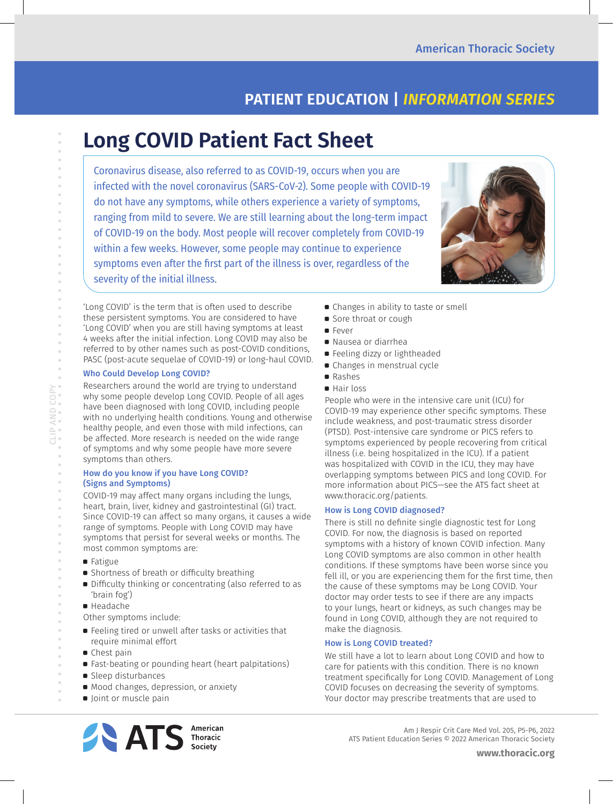# **PATIENT EDUCATION |** *INFORMATION SERIES*

# **Long COVID Patient Fact Sheet**

Coronavirus disease, also referred to as COVID-19, occurs when you are infected with the novel coronavirus (SARS-CoV-2). Some people with COVID-19 do not have any symptoms, while others experience a variety of symptoms, ranging from mild to severe. We are still learning about the long-term impact of COVID-19 on the body. Most people will recover completely from COVID-19 within a few weeks. However, some people may continue to experience symptoms even after the first part of the illness is over, regardless of the severity of the initial illness.



'Long COVID' is the term that is often used to describe these persistent symptoms. You are considered to have 'Long COVID' when you are still having symptoms at least 4 weeks after the initial infection. Long COVID may also be referred to by other names such as post-COVID conditions, PASC (post-acute sequelae of COVID-19) or long-haul COVID.

# Who Could Develop Long COVID?

Researchers around the world are trying to understand why some people develop Long COVID. People of all ages have been diagnosed with long COVID, including people with no underlying health conditions. Young and otherwise healthy people, and even those with mild infections, can be affected. More research is needed on the wide range of symptoms and why some people have more severe symptoms than others.

## How do you know if you have Long COVID? (Signs and Symptoms)

COVID-19 may affect many organs including the lungs, heart, brain, liver, kidney and gastrointestinal (GI) tract. Since COVID-19 can affect so many organs, it causes a wide range of symptoms. People with Long COVID may have symptoms that persist for several weeks or months. The most common symptoms are:

a Fatigue

CLIP AND COPY

- Shortness of breath or difficulty breathing
- a Difficulty thinking or concentrating (also referred to as 'brain fog')
- a Headache

Other symptoms include:

- a Feeling tired or unwell after tasks or activities that require minimal effort
- **Chest pain**
- a Fast-beating or pounding heart (heart palpitations)
- **B** Sleep disturbances
- **Mood changes, depression, or anxiety**
- **D** Joint or muscle pain



- Sore throat or cough
- a Fever
- a Nausea or diarrhea
- **•** Feeling dizzy or lightheaded
- a Changes in menstrual cycle
- Rashes
- a Hair loss

People who were in the intensive care unit (ICU) for COVID-19 may experience other specific symptoms. These include weakness, and post-traumatic stress disorder (PTSD). Post-intensive care syndrome or PICS refers to symptoms experienced by people recovering from critical illness (i.e. being hospitalized in the ICU). If a patient was hospitalized with COVID in the ICU, they may have overlapping symptoms between PICS and long COVID. For more information about PICS—see the ATS fact sheet at www.thoracic.org/patients.

# How is Long COVID diagnosed?

There is still no definite single diagnostic test for Long COVID. For now, the diagnosis is based on reported symptoms with a history of known COVID infection. Many Long COVID symptoms are also common in other health conditions. If these symptoms have been worse since you fell ill, or you are experiencing them for the first time, then the cause of these symptoms may be Long COVID. Your doctor may order tests to see if there are any impacts to your lungs, heart or kidneys, as such changes may be found in Long COVID, although they are not required to make the diagnosis.

# How is Long COVID treated?

We still have a lot to learn about Long COVID and how to care for patients with this condition. There is no known treatment specifically for Long COVID. Management of Long COVID focuses on decreasing the severity of symptoms. Your doctor may prescribe treatments that are used to



Am J Respir Crit Care Med Vol. 205, P5-P6, 2022 ATS Patient Education Series © 2022 American Thoracic Society

**www.thoracic.org**